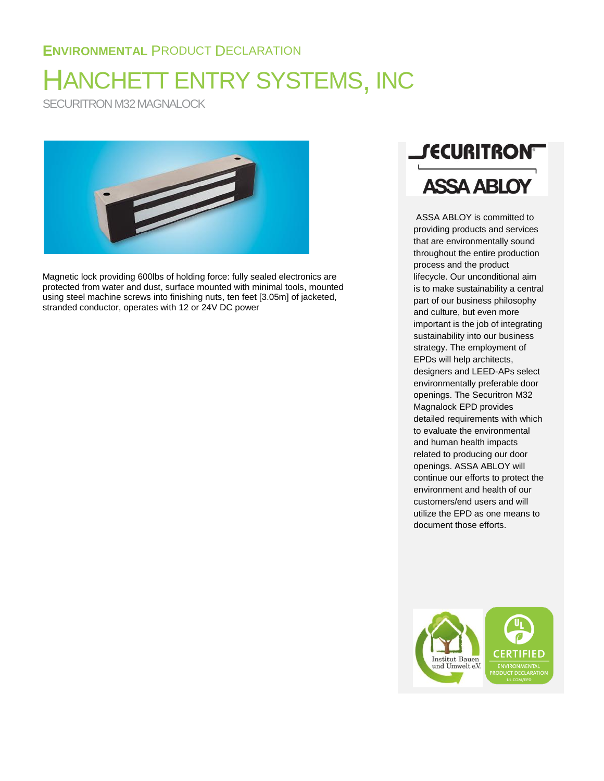## **ENVIRONMENTAL** PRODUCT DECLARATION

# HANCHETT ENTRY SYSTEMS, INC

SECURITRON M32 MAGNALOCK



Magnetic lock providing 600lbs of holding force: fully sealed electronics are protected from water and dust, surface mounted with minimal tools, mounted using steel machine screws into finishing nuts, ten feet [3.05m] of jacketed, stranded conductor, operates with 12 or 24V DC power



ASSA ABLOY is committed to providing products and services that are environmentally sound throughout the entire production process and the product lifecycle. Our unconditional aim is to make sustainability a central part of our business philosophy and culture, but even more important is the job of integrating sustainability into our business strategy. The employment of EPDs will help architects, designers and LEED-APs select environmentally preferable door openings. The Securitron M32 Magnalock EPD provides detailed requirements with which to evaluate the environmental and human health impacts related to producing our door openings. ASSA ABLOY will continue our efforts to protect the environment and health of our customers/end users and will utilize the EPD as one means to document those efforts.

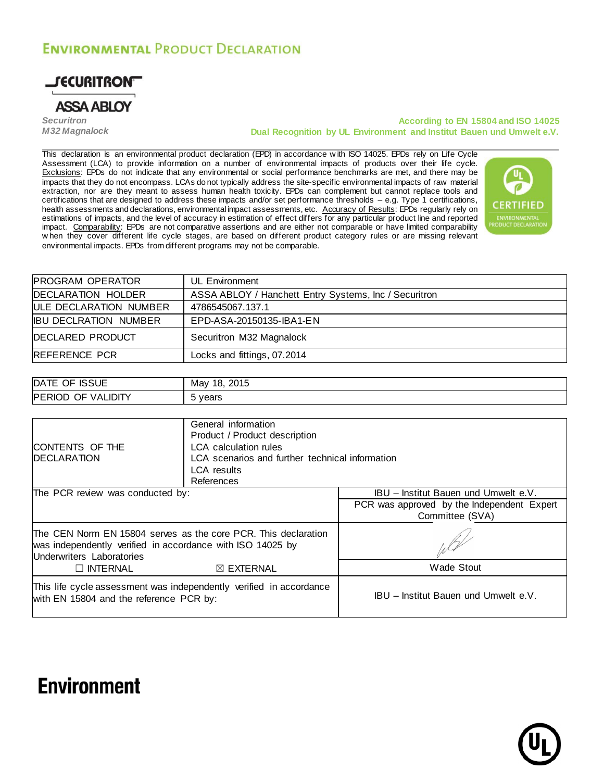## **ENVIRONMENTAL PRODUCT DECLARATION**



*Securitron M32 Magnalock*

#### **According to EN 15804 and ISO 14025 Dual Recognition by UL Environment and Institut Bauen und Umwelt e.V.**

This declaration is an environmental product declaration (EPD) in accordance w ith ISO 14025. EPDs rely on Life Cycle Assessment (LCA) to provide information on a number of environmental impacts of products over their life cycle. Exclusions: EPDs do not indicate that any environmental or social performance benchmarks are met, and there may be impacts that they do not encompass. LCAs do not typically address the site-specific environmental impacts of raw material extraction, nor are they meant to assess human health toxicity. EPDs can complement but cannot replace tools and certifications that are designed to address these impacts and/or set performance thresholds – e.g. Type 1 certifications, health assessments and declarations, environmental impact assessments, etc. Accuracy of Results: EPDs regularly rely on estimations of impacts, and the level of accuracy in estimation of effect differs for any particular product line and reported impact. Comparability: EPDs are not comparative assertions and are either not comparable or have limited comparability w hen they cover different life cycle stages, are based on different product category rules or are missing relevant environmental impacts. EPDs from different programs may not be comparable.



| <b>PROGRAM OPERATOR</b> | UL Environment                                        |
|-------------------------|-------------------------------------------------------|
| DECLARATION HOLDER      | ASSA ABLOY / Hanchett Entry Systems, Inc / Securitron |
| ULE DECLARATION NUMBER  | 4786545067.137.1                                      |
| IIBU DECLRATION NUMBER  | EPD-ASA-20150135-IBA1-EN                              |
| <b>DECLARED PRODUCT</b> | Securitron M32 Magnalock                              |
| REFERENCE PCR           | Locks and fittings, 07.2014                           |
|                         |                                                       |

| <b>ISSUE</b><br>OF.<br><b>DATE</b>                       | 2015<br>18.<br>Mav<br>20 I J |
|----------------------------------------------------------|------------------------------|
| <b>IDIT</b><br>۷AI.<br><b>PERIOD</b><br>$-$<br>JF<br>. . | years<br>ັ                   |

| <b>ICONTENTS OF THE</b><br><b>IDECLARATION</b>                                                                                                            | General information<br>Product / Product description<br>LCA calculation rules<br>LCA scenarios and further technical information<br><b>LCA</b> results<br>References |                                                               |
|-----------------------------------------------------------------------------------------------------------------------------------------------------------|----------------------------------------------------------------------------------------------------------------------------------------------------------------------|---------------------------------------------------------------|
| The PCR review was conducted by:                                                                                                                          |                                                                                                                                                                      | IBU – Institut Bauen und Umwelt e.V.                          |
|                                                                                                                                                           |                                                                                                                                                                      | PCR was approved by the Independent Expert<br>Committee (SVA) |
| The CEN Norm EN 15804 serves as the core PCR. This declaration<br>was independently verified in accordance with ISO 14025 by<br>Underwriters Laboratories |                                                                                                                                                                      |                                                               |
| $\Box$ INTERNAL                                                                                                                                           | $\boxtimes$ EXTERNAL                                                                                                                                                 | <b>Wade Stout</b>                                             |
| This life cycle assessment was independently verified in accordance<br>with EN 15804 and the reference PCR by:                                            |                                                                                                                                                                      | IBU - Institut Bauen und Umwelt e.V.                          |

## **Environment**

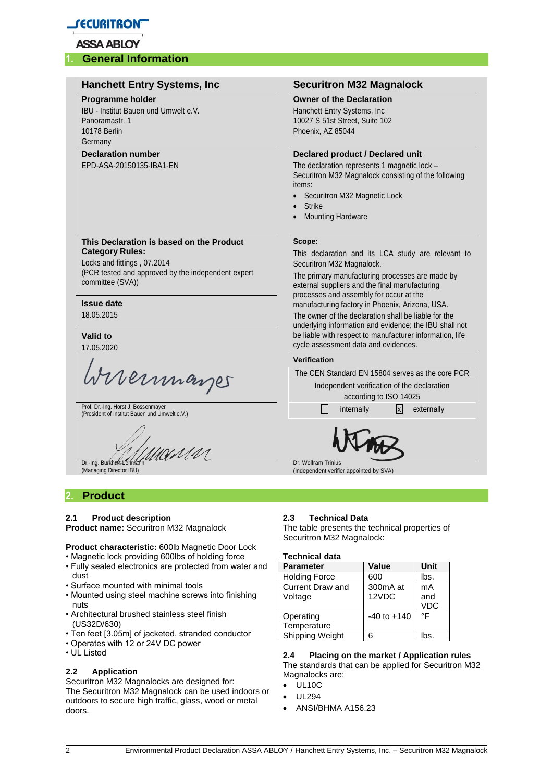

#### **1. General Information**

#### **Hanchett Entry Systems, Inc Securitron M32 Magnalock Programme holder Owner of the Declaration** IBU - Institut Bauen und Umwelt e.V. Hanchett Entry Systems, Inc Panoramastr. 1 10027 S 51st Street, Suite 102 10178 Berlin Phoenix, AZ 85044 Germany **Declaration number Declared product / Declared unit** EPD-ASA-20150135-IBA1-EN The declaration represents 1 magnetic lock – Securitron M32 Magnalock consisting of the following items: Securitron M32 Magnetic Lock Strike Mounting Hardware **This Declaration is based on the Product Scope: Category Rules:** This declaration and its LCA study are relevant to Locks and fittings , 07.2014 Securitron M32 Magnalock. (PCR tested and approved by the independent expert The primary manufacturing processes are made by committee (SVA)) external suppliers and the final manufacturing processes and assembly for occur at the **Issue date** manufacturing factory in Phoenix, Arizona, USA. 18.05.2015 The owner of the declaration shall be liable for the underlying information and evidence; the IBU shall not **Valid to** be liable with respect to manufacturer information, life cycle assessment data and evidences. 17.05.2020 **Verification** Memmanger The CEN Standard EN 15804 serves as the core PCR Independent verification of the declaration according to ISO 14025 Prof. Dr.-Ing. Horst J. Bossenmayer Prof. Dr.-Ing. Horst J. Bossenmayer<br>(President of Institut Bauen und Umwelt e.V.) internally internally internally x externally WMN Dr.-Ing. Burkhart Lehman Dr. Wolfram Trinius (Managing Director IBU) (Independent verifier appointed by SVA) **2. Product 2.1 Product description 2.3 Technical Data Product name:** Securitron M32 Magnalock

**Product characteristic:** 600lb Magnetic Door Lock

- Magnetic lock providing 600lbs of holding force • Fully sealed electronics are protected from water and
- dust
- Surface mounted with minimal tools
- Mounted using steel machine screws into finishing nuts
- Architectural brushed stainless steel finish (US32D/630)
- Ten feet [3.05m] of jacketed, stranded conductor
- Operates with 12 or 24V DC power
- UL Listed

#### **2.2 Application**

Securitron M32 Magnalocks are designed for: The Securitron M32 Magnalock can be used indoors or outdoors to secure high traffic, glass, wood or metal doors.

The table presents the technical properties of Securitron M32 Magnalock:

#### **Technical data**

| <b>Parameter</b>                   | <b>Value</b>      | Unit                    |
|------------------------------------|-------------------|-------------------------|
| <b>Holding Force</b>               | 600               | lbs.                    |
| <b>Current Draw and</b><br>Voltage | 300mA at<br>12VDC | mA<br>and<br><b>VDC</b> |
| Operating<br>Temperature           | $-40$ to $+140$   | °F                      |
| Shipping Weight                    | 6                 | Ibs                     |

#### **2.4 Placing on the market / Application rules** The standards that can be applied for Securitron M32 Magnalocks are:

- UL10C
- UL294
- ANSI/BHMA A156.23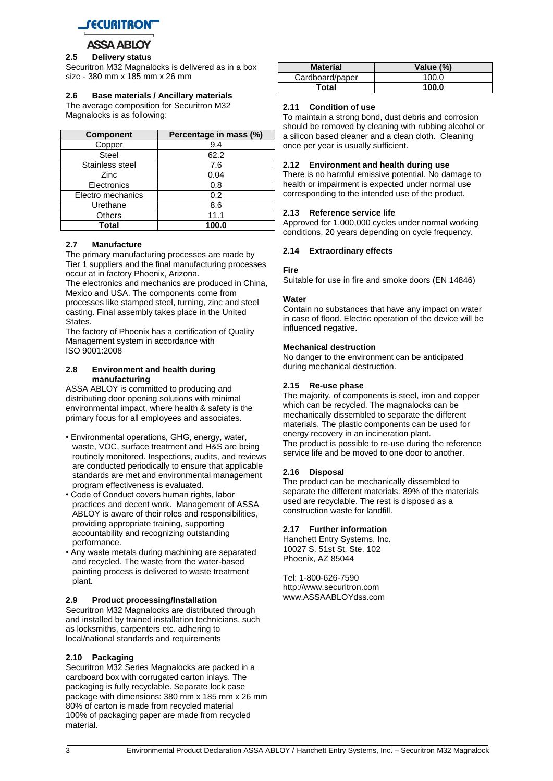

#### **2.5 Delivery status**

Securitron M32 Magnalocks is delivered as in a box size - 380 mm x 185 mm x 26 mm

#### **2.6 Base materials / Ancillary materials**

The average composition for Securitron M32 Magnalocks is as following:

| <b>Component</b>  | Percentage in mass (%) |
|-------------------|------------------------|
| Copper            | 9.4                    |
| <b>Steel</b>      | 62.2                   |
| Stainless steel   | 7.6                    |
| Zinc              | 0.04                   |
| Electronics       | 0.8                    |
| Electro mechanics | 0.2                    |
| Urethane          | 8.6                    |
| <b>Others</b>     | 11.1                   |
| Total             | 100.0                  |

#### **2.7 Manufacture**

The primary manufacturing processes are made by Tier 1 suppliers and the final manufacturing processes occur at in factory Phoenix, Arizona.

The electronics and mechanics are produced in China, Mexico and USA. The components come from processes like stamped steel, turning, zinc and steel casting. Final assembly takes place in the United States.

The factory of Phoenix has a certification of Quality Management system in accordance with ISO 9001:2008

#### **2.8 Environment and health during manufacturing**

ASSA ABLOY is committed to producing and distributing door opening solutions with minimal environmental impact, where health & safety is the primary focus for all employees and associates.

- Environmental operations, GHG, energy, water, waste, VOC, surface treatment and H&S are being routinely monitored. Inspections, audits, and reviews are conducted periodically to ensure that applicable standards are met and environmental management program effectiveness is evaluated.
- Code of Conduct covers human rights, labor practices and decent work. Management of ASSA ABLOY is aware of their roles and responsibilities, providing appropriate training, supporting accountability and recognizing outstanding performance.
- Any waste metals during machining are separated and recycled. The waste from the water-based painting process is delivered to waste treatment plant.

#### **2.9 Product processing/Installation**

Securitron M32 Magnalocks are distributed through and installed by trained installation technicians, such as locksmiths, carpenters etc. adhering to local/national standards and requirements

#### **2.10 Packaging**

Securitron M32 Series Magnalocks are packed in a cardboard box with corrugated carton inlays. The packaging is fully recyclable. Separate lock case package with dimensions: 380 mm x 185 mm x 26 mm 80% of carton is made from recycled material 100% of packaging paper are made from recycled material.

| <b>Material</b> | Value (%) |
|-----------------|-----------|
| Cardboard/paper | 100.0     |
| Total           | 100.0     |

#### **2.11 Condition of use**

To maintain a strong bond, dust debris and corrosion should be removed by cleaning with rubbing alcohol or a silicon based cleaner and a clean cloth. Cleaning once per year is usually sufficient.

#### **2.12 Environment and health during use**

There is no harmful emissive potential. No damage to health or impairment is expected under normal use corresponding to the intended use of the product.

#### **2.13 Reference service life**

Approved for 1,000,000 cycles under normal working conditions, 20 years depending on cycle frequency.

#### **2.14 Extraordinary effects**

#### **Fire**

Suitable for use in fire and smoke doors (EN 14846)

#### **Water**

Contain no substances that have any impact on water in case of flood. Electric operation of the device will be influenced negative.

#### **Mechanical destruction**

No danger to the environment can be anticipated during mechanical destruction.

#### **2.15 Re-use phase**

The majority, of components is steel, iron and copper which can be recycled. The magnalocks can be mechanically dissembled to separate the different materials. The plastic components can be used for energy recovery in an incineration plant. The product is possible to re-use during the reference service life and be moved to one door to another.

#### **2.16 Disposal**

The product can be mechanically dissembled to separate the different materials. 89% of the materials used are recyclable. The rest is disposed as a construction waste for landfill.

#### **2.17 Further information**

Hanchett Entry Systems, Inc. 10027 S. 51st St, Ste. 102 Phoenix, AZ 85044

Tel: 1-800-626-7590 http://www.securitron.com www.ASSAABLOYdss.com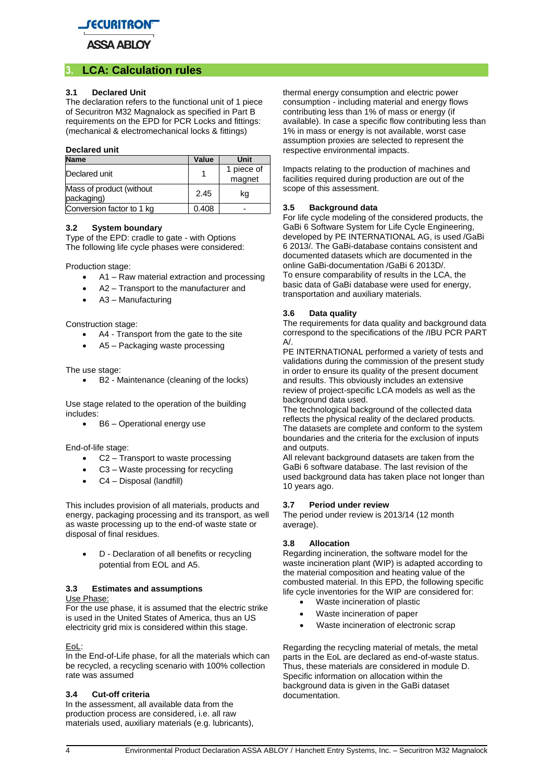

## **3. LCA: Calculation rules**

#### **3.1 Declared Unit**

The declaration refers to the functional unit of 1 piece of Securitron M32 Magnalock as specified in Part B requirements on the EPD for PCR Locks and fittings: (mechanical & electromechanical locks & fittings)

#### **Declared unit**

| <b>Name</b>                            | Value | Unit                 |
|----------------------------------------|-------|----------------------|
| Declared unit                          |       | 1 piece of<br>magnet |
| Mass of product (without<br>packaging) | 2.45  | kg                   |
| Conversion factor to 1 kg              | 0.408 |                      |

#### **3.2 System boundary**

Type of the EPD: cradle to gate - with Options The following life cycle phases were considered:

Production stage:

- A1 Raw material extraction and processing
- A2 Transport to the manufacturer and
- A3 Manufacturing

Construction stage:

- A4 Transport from the gate to the site
- A5 Packaging waste processing

The use stage:

B2 - Maintenance (cleaning of the locks)

Use stage related to the operation of the building includes:

• B6 – Operational energy use

End-of-life stage:

- C2 Transport to waste processing
- C3 Waste processing for recycling
- C4 Disposal (landfill)

This includes provision of all materials, products and energy, packaging processing and its transport, as well as waste processing up to the end-of waste state or disposal of final residues.

 D - Declaration of all benefits or recycling potential from EOL and A5.

## **3.3 Estimates and assumptions**

Use Phase:

For the use phase, it is assumed that the electric strike is used in the United States of America, thus an US electricity grid mix is considered within this stage.

EoL:

In the End-of-Life phase, for all the materials which can be recycled, a recycling scenario with 100% collection rate was assumed

#### **3.4 Cut-off criteria**

In the assessment, all available data from the production process are considered, i.e. all raw materials used, auxiliary materials (e.g. lubricants), thermal energy consumption and electric power consumption - including material and energy flows contributing less than 1% of mass or energy (if available). In case a specific flow contributing less than 1% in mass or energy is not available, worst case assumption proxies are selected to represent the respective environmental impacts.

Impacts relating to the production of machines and facilities required during production are out of the scope of this assessment.

#### **3.5 Background data**

For life cycle modeling of the considered products, the GaBi 6 Software System for Life Cycle Engineering, developed by PE INTERNATIONAL AG, is used /GaBi 6 2013/. The GaBi-database contains consistent and documented datasets which are documented in the online GaBi-documentation /GaBi 6 2013D/. To ensure comparability of results in the LCA, the basic data of GaBi database were used for energy, transportation and auxiliary materials.

#### **3.6 Data quality**

The requirements for data quality and background data correspond to the specifications of the /IBU PCR PART  $\Delta/$ 

PE INTERNATIONAL performed a variety of tests and validations during the commission of the present study in order to ensure its quality of the present document and results. This obviously includes an extensive review of project-specific LCA models as well as the background data used.

The technological background of the collected data reflects the physical reality of the declared products. The datasets are complete and conform to the system boundaries and the criteria for the exclusion of inputs and outputs.

All relevant background datasets are taken from the GaBi 6 software database. The last revision of the used background data has taken place not longer than 10 years ago.

#### **3.7 Period under review**

The period under review is 2013/14 (12 month average).

#### **3.8 Allocation**

Regarding incineration, the software model for the waste incineration plant (WIP) is adapted according to the material composition and heating value of the combusted material. In this EPD, the following specific life cycle inventories for the WIP are considered for:

- Waste incineration of plastic
- Waste incineration of paper
- Waste incineration of electronic scrap

Regarding the recycling material of metals, the metal parts in the EoL are declared as end-of-waste status. Thus, these materials are considered in module D. Specific information on allocation within the background data is given in the GaBi dataset documentation.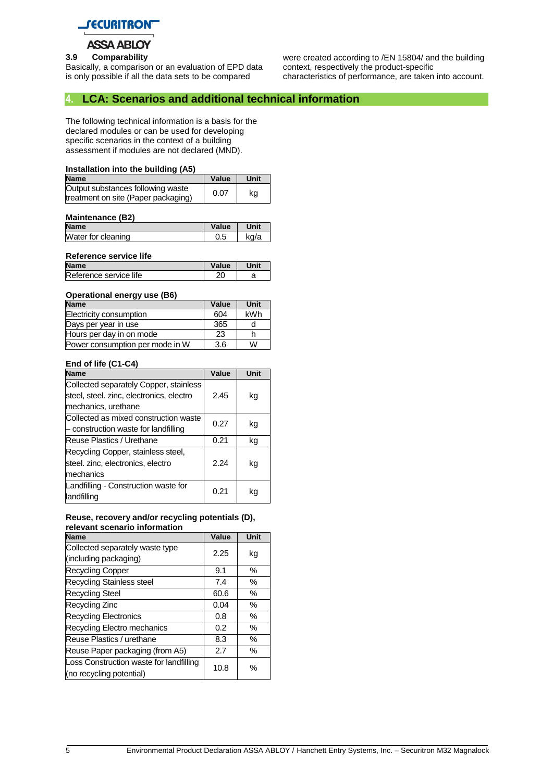

**3.9 Comparability** Basically, a comparison or an evaluation of EPD data is only possible if all the data sets to be compared

were created according to /EN 15804/ and the building context, respectively the product-specific characteristics of performance, are taken into account.

## **4. LCA: Scenarios and additional technical information**

The following technical information is a basis for the declared modules or can be used for developing specific scenarios in the context of a building assessment if modules are not declared (MND).

#### **Installation into the building (A5)**

| <b>Name</b>                                                              | Value | Unit |
|--------------------------------------------------------------------------|-------|------|
| Output substances following waste<br>treatment on site (Paper packaging) | 0.07  | kg   |

#### **Maintenance (B2)**

| <b>Name</b>        | Value | Unit |
|--------------------|-------|------|
| Water for cleaning | J.5   | ka/a |
|                    |       |      |

#### **Reference service life**

| Value | Unit | <b>Name</b>            |  |
|-------|------|------------------------|--|
|       |      | Reference service life |  |
|       |      |                        |  |

#### **Operational energy use (B6)**

| --                              |       |      |
|---------------------------------|-------|------|
| <b>Name</b>                     | Value | Unit |
| Electricity consumption         | 604   | kWh  |
| Days per year in use            | 365   |      |
| Hours per day in on mode        | 23    |      |
| Power consumption per mode in W | 3.6   | W    |

#### **End of life (C1-C4)**

| <b>Name</b>                                                                                               | Value | Unit |
|-----------------------------------------------------------------------------------------------------------|-------|------|
| Collected separately Copper, stainless<br>steel, steel. zinc, electronics, electro<br>mechanics, urethane | 2.45  | kg   |
| Collected as mixed construction waste<br>- construction waste for landfilling                             | 0.27  | kg   |
| Reuse Plastics / Urethane                                                                                 | 0.21  | kg   |
| Recycling Copper, stainless steel,<br>steel. zinc, electronics, electro<br>mechanics                      | 2.24  | kg   |
| Landfilling - Construction waste for<br>landfilling                                                       | 0.21  | kg   |

#### **Reuse, recovery and/or recycling potentials (D), relevant scenario information**

| <b>Name</b>                                                         | Value | Unit |
|---------------------------------------------------------------------|-------|------|
| Collected separately waste type                                     | 2.25  | kg   |
| (including packaging)                                               |       |      |
| <b>Recycling Copper</b>                                             | 9.1   | $\%$ |
| <b>Recycling Stainless steel</b>                                    | 7.4   | %    |
| <b>Recycling Steel</b>                                              | 60.6  | $\%$ |
| Recycling Zinc                                                      | 0.04  | $\%$ |
| <b>Recycling Electronics</b>                                        | 0.8   | $\%$ |
| Recycling Electro mechanics                                         | 0.2   | $\%$ |
| Reuse Plastics / urethane                                           | 8.3   | $\%$ |
| Reuse Paper packaging (from A5)                                     | 2.7   | $\%$ |
| Loss Construction waste for landfilling<br>(no recycling potential) | 10.8  | $\%$ |
|                                                                     |       |      |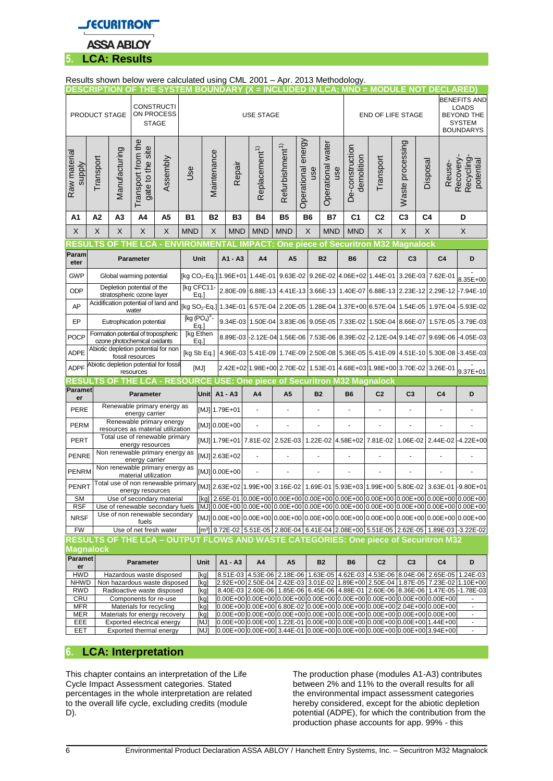

## Results shown below were calculated using CML 2001 – Apr. 2013 Methodology.

|                               | <b>DESCRIPTION OF</b>                                               |                          |                                                                                         | THE SYSTEM BOUNDARY       |                   |                       |               |            |                           |                             |                           |                                                       | $(X = INCLUDED IN LCA; MND = MODULE NOT DECLARED)$                                                                                                          |                |                             |                |                                                                                               |                                                                                                                                                                      |
|-------------------------------|---------------------------------------------------------------------|--------------------------|-----------------------------------------------------------------------------------------|---------------------------|-------------------|-----------------------|---------------|------------|---------------------------|-----------------------------|---------------------------|-------------------------------------------------------|-------------------------------------------------------------------------------------------------------------------------------------------------------------|----------------|-----------------------------|----------------|-----------------------------------------------------------------------------------------------|----------------------------------------------------------------------------------------------------------------------------------------------------------------------|
|                               | <b>CONSTRUCTI</b><br>ON PROCESS<br>PRODUCT STAGE<br><b>STAGE</b>    |                          |                                                                                         | <b>USE STAGE</b>          |                   |                       |               |            |                           |                             |                           |                                                       | END OF LIFE STAGE                                                                                                                                           |                |                             |                | <b>BENEFITS AND</b><br><b>LOADS</b><br><b>BEYOND THE</b><br><b>SYSTEM</b><br><b>BOUNDARYS</b> |                                                                                                                                                                      |
| Raw material<br><b>Supply</b> | Transport                                                           | Manufacturing            | Transport from the<br>gate to the site                                                  | Assembly                  | Jse               |                       | Maintenance   | Repair     | Replacement <sup>1)</sup> | Refurbishment <sup>1)</sup> | Operational energy<br>use | Operational water                                     | De-construction<br>demolition<br>use                                                                                                                        | Transport      | Waste processing            | Disposal       | Reuse-                                                                                        | Recovery-<br>Recycling-<br>potential                                                                                                                                 |
| A1                            | A <sub>2</sub>                                                      | A <sub>3</sub>           | A4                                                                                      | A5                        | <b>B1</b>         |                       | <b>B2</b>     | <b>B3</b>  | <b>B4</b>                 | <b>B5</b>                   | <b>B6</b>                 | <b>B7</b>                                             | C <sub>1</sub>                                                                                                                                              | C <sub>2</sub> | C <sub>3</sub>              | C <sub>4</sub> |                                                                                               | D                                                                                                                                                                    |
| X                             | X                                                                   | X                        | X                                                                                       | X                         | <b>MND</b>        |                       | X             | <b>MND</b> | <b>MND</b>                | <b>MND</b>                  | X                         | <b>MND</b>                                            | <b>MND</b>                                                                                                                                                  | X              | X                           | X              |                                                                                               | X                                                                                                                                                                    |
| ESI                           |                                                                     |                          |                                                                                         | <b>ENVIR</b>              |                   | ONMFI                 |               |            | <b>IMPACT:</b>            |                             |                           |                                                       | One piece of Securitron M32 Magnalock                                                                                                                       |                |                             |                |                                                                                               |                                                                                                                                                                      |
| Param<br>eter                 |                                                                     |                          | <b>Parameter</b>                                                                        |                           |                   | Unit                  |               | A1 - A3    | A4                        | A <sub>5</sub>              |                           | <b>B2</b>                                             | <b>B6</b>                                                                                                                                                   | C <sub>2</sub> | C <sub>3</sub>              |                | C <sub>4</sub>                                                                                | D                                                                                                                                                                    |
| <b>GWP</b>                    |                                                                     |                          | Global warming potential                                                                |                           |                   |                       |               |            |                           |                             |                           |                                                       | [kg CO <sub>2</sub> -Eq.] 1.96E+01 1.44E-01 9.63E-02 9.26E-02 4.06E+02 1.44E-01                                                                             |                |                             |                | 3.26E-03 7.62E-01                                                                             | 8.35E+00                                                                                                                                                             |
| ODP                           | Depletion potential of the<br>stratospheric ozone layer             |                          |                                                                                         | [kg CFC11-                | Eq.               |                       |               |            |                           |                             |                           |                                                       |                                                                                                                                                             |                |                             |                | 2.80E-09 6.88E-13 4.41E-13 3.66E-13 1.40E-07 6.88E-13 2.23E-12 2.29E-12 -7.94E-10             |                                                                                                                                                                      |
| AP                            | Acidification potential of land and<br>water                        |                          |                                                                                         | [kg SO <sub>2</sub> -Eq.] |                   |                       |               |            |                           |                             |                           | 1.34E-01 6.57E-04 2.20E-05 1.28E-04 1.37E+00 6.57E-04 |                                                                                                                                                             |                |                             |                | 1.54E-05 1.97E-04 -5.93E-02                                                                   |                                                                                                                                                                      |
| EP                            |                                                                     | Eutrophication potential |                                                                                         |                           |                   | [kg $(PO4)3$ -<br>Eq. |               |            |                           |                             |                           | 9.34E-03 1.50E-04 3.83E-06 9.05E-05 7.33E-02 1.50E-04 |                                                                                                                                                             |                |                             |                |                                                                                               | 8.66E-07   1.57E-05   -3.79E-03                                                                                                                                      |
| POCP                          | Formation potential of tropospheric<br>ozone photochemical oxidants |                          |                                                                                         |                           | [kg Ethen<br>Eq.] |                       |               |            |                           |                             |                           |                                                       | 8.89E-03 -2.12E-04 1.56E-06 7.53E-06 8.39E-02 -2.12E-04 9.14E-07 9.69E-06 -4.05E-03                                                                         |                |                             |                |                                                                                               |                                                                                                                                                                      |
| ADPE                          | Abiotic depletion potential for non<br>fossil resources             |                          |                                                                                         |                           | [kg Sb Eq.]       |                       |               |            |                           |                             |                           |                                                       | 4.96E-03 5.41E-09 1.74E-09 2.50E-08 5.36E-05 5.41E-09                                                                                                       |                | 4.51E-10 5.30E-08 -3.45E-03 |                |                                                                                               |                                                                                                                                                                      |
| <b>ADPF</b>                   | Abiotic depletion potential for fossil                              |                          |                                                                                         |                           |                   |                       |               |            |                           |                             |                           |                                                       | 2.42E+02 1.98E+00 2.70E-02 1.53E-01 4.68E+03 1.98E+00 3.70E-02 3.26E-01                                                                                     |                |                             |                |                                                                                               |                                                                                                                                                                      |
|                               |                                                                     |                          |                                                                                         |                           |                   | [MJ]                  |               |            |                           |                             |                           |                                                       |                                                                                                                                                             |                |                             |                |                                                                                               |                                                                                                                                                                      |
| RESUI                         | ß                                                                   | OF                       | resources<br>C.A                                                                        |                           | <b>SOURCE</b>     |                       |               |            |                           |                             |                           |                                                       | <b>USE: One piece of Securitron M32 Magnalock</b>                                                                                                           |                |                             |                |                                                                                               | 9.37E+01                                                                                                                                                             |
| <b>Paramet</b><br>er          |                                                                     |                          | <b>Parameter</b>                                                                        |                           |                   | Unit                  | A1 - A3       |            | A4                        | A <sub>5</sub>              |                           | <b>B2</b>                                             | <b>B6</b>                                                                                                                                                   | C <sub>2</sub> | C <sub>3</sub>              |                | C <sub>4</sub>                                                                                | D                                                                                                                                                                    |
| PERE                          |                                                                     |                          | Renewable primary energy as<br>energy carrier                                           |                           |                   |                       | [MJ] 1.79E+01 |            |                           |                             |                           |                                                       |                                                                                                                                                             |                |                             |                |                                                                                               |                                                                                                                                                                      |
| <b>PERM</b>                   |                                                                     |                          | Renewable primary energy                                                                |                           |                   |                       | [MJ] 0.00E+00 |            |                           |                             |                           |                                                       |                                                                                                                                                             |                |                             |                |                                                                                               |                                                                                                                                                                      |
| PERT                          |                                                                     |                          | resources as material utilization<br>Total use of renewable primary<br>energy resources |                           |                   |                       |               |            | [MJ] 1.79E+01 7.81E-02    | 2.52E-03                    |                           |                                                       | 1.22E-02 4.58E+02 7.81E-02                                                                                                                                  |                | 1.06E-02                    |                |                                                                                               | 2.44E-02-4.22E+00                                                                                                                                                    |
| <b>PENRE</b>                  |                                                                     |                          | Non renewable primary energy as<br>energy carrier                                       |                           |                   |                       | [MJ] 2.63E+02 |            |                           |                             |                           |                                                       |                                                                                                                                                             |                |                             |                |                                                                                               |                                                                                                                                                                      |
| PENRM                         |                                                                     |                          | Non renewable primary energy as<br>material utilization                                 |                           |                   |                       | [MJ] 0.00E+00 |            |                           |                             |                           |                                                       |                                                                                                                                                             |                |                             |                |                                                                                               |                                                                                                                                                                      |
| PENRT                         |                                                                     |                          | Total use of non renewable primary<br>energy resources                                  |                           |                   |                       |               |            |                           |                             |                           |                                                       |                                                                                                                                                             |                |                             |                |                                                                                               | [MJ] 2.63E+02 1.99E+00 3.16E-02 1.69E-01 5.93E+03 1.99E+00 5.80E-02 3.63E-01 -9.80E+01                                                                               |
| SΜ                            |                                                                     |                          | Use of secondary material                                                               |                           |                   |                       |               |            |                           |                             |                           |                                                       |                                                                                                                                                             |                |                             |                |                                                                                               | [kg] 2.65E-01 0.00E+00 0.00E+00 0.00E+00 0.00E+00 0.00E+00 0.00E+00 0.00E+00 0.00E+00                                                                                |
| RSF<br><b>NRSF</b>            |                                                                     |                          | Use of renewable secondary fuels<br>Use of non renewable secondary                      |                           |                   |                       |               |            |                           |                             |                           |                                                       |                                                                                                                                                             |                |                             |                |                                                                                               | $[$ [MJ] $]$ 0.00E+00 $]$ 0.00E+00 $]$ 0.00E+00 $]$ 0.00E+00 $]$ 0.00E+00 $]$ 0.00E+00 $]$ 0.00E+00 $]$ 0.00E+00 $]$ 0.00E+00 $]$ 0.00E+00                           |
| <b>FW</b>                     |                                                                     |                          | fuels<br>Use of net fresh water                                                         |                           |                   |                       |               |            |                           |                             |                           |                                                       |                                                                                                                                                             |                |                             |                |                                                                                               | [m <sup>3</sup> ] 9.72E-02 5.51E-05 2.80E-04 6.41E-04 2.08E+00 5.51E-05 2.62E-05 1.89E-03 -3.22E-02                                                                  |
|                               |                                                                     |                          |                                                                                         |                           |                   |                       |               |            |                           |                             |                           |                                                       | RESULTS OF THE LCA - OUTPUT FLOWS AND WASTE CATEGORIES: One piece of Securitron M32                                                                         |                |                             |                |                                                                                               |                                                                                                                                                                      |
| <b>Magnalock</b>              |                                                                     |                          |                                                                                         |                           |                   |                       |               |            |                           |                             |                           |                                                       |                                                                                                                                                             |                |                             |                |                                                                                               |                                                                                                                                                                      |
| Paramet<br>er                 |                                                                     |                          | Parameter                                                                               |                           |                   | Unit                  |               | A1 - A3    | A4                        | A <sub>5</sub>              |                           | <b>B2</b>                                             | <b>B6</b>                                                                                                                                                   | C <sub>2</sub> | C <sub>3</sub>              |                | C <sub>4</sub>                                                                                | D                                                                                                                                                                    |
| <b>HWD</b><br><b>NHWD</b>     |                                                                     |                          | Hazardous waste disposed<br>Non hazardous waste disposed                                |                           |                   | [kg]<br>[kg]          |               |            |                           |                             |                           |                                                       |                                                                                                                                                             |                |                             |                |                                                                                               | 8.51E-03 4.53E-06 2.18E-06 1.63E-05 4.62E-03 4.53E-06 8.04E-06 2.65E-05 1.24E-03<br>2.92E+00 2.50E-04 2.42E-03 3.01E-02 1.89E+00 2.50E-04 1.87E-05 7.23E-02 1.10E+00 |
| <b>RWD</b>                    |                                                                     |                          | Radioactive waste disposed                                                              |                           |                   | [kg]                  |               |            |                           |                             |                           |                                                       |                                                                                                                                                             |                |                             |                |                                                                                               | 8.40E-03   2.60E-06   1.85E-06   6.45E-06   4.88E-01   2.60E-06   8.36E-06   1.47E-05   -1.78E-03                                                                    |
| CRU                           |                                                                     |                          | Components for re-use                                                                   |                           |                   | [kg]                  |               |            |                           |                             |                           |                                                       | $[0.00E + 00]0.00E + 00]0.00E + 00]0.00E + 00]0.00E + 00]0.00E + 00]0.00E + 00]0.00E + 00$                                                                  |                |                             |                |                                                                                               | $\blacksquare$                                                                                                                                                       |
| <b>MFR</b><br><b>MER</b>      |                                                                     |                          | Materials for recycling<br>Materials for energy recovery                                |                           |                   | [kg]<br>[kg]          |               |            |                           |                             |                           |                                                       | $0.00E+0000.00E+0006.80E-020.00E+0000.00E+0000.00E+0002.04E+0000.00E+00$                                                                                    |                |                             |                |                                                                                               | $\overline{\phantom{a}}$                                                                                                                                             |
| EEE<br>EET                    |                                                                     |                          | Exported electrical energy<br>Exported thermal energy                                   |                           |                   | [MJ]<br>[MJ]          |               |            |                           |                             |                           |                                                       | $[0.00E+00]0.00E+00]$ 1.22E-01 $[0.00E+00]0.00E+00]0.00E+00]0.00E+00$ 1.44E+00<br>$[0.00E+00]0.00E+00]3.44E-01]0.00E+0000.00E+0000.00E+0000.00E+003.94E+00$ |                |                             |                |                                                                                               | $\blacksquare$                                                                                                                                                       |

## **6. LCA: Interpretation**

This chapter contains an interpretation of the Life Cycle Impact Assessment categories. Stated percentages in the whole interpretation are related to the overall life cycle, excluding credits (module D).

The production phase (modules A1-A3) contributes between 2% and 11% to the overall results for all the environmental impact assessment categories hereby considered, except for the abiotic depletion potential (ADPE), for which the contribution from the production phase accounts for app. 99% - this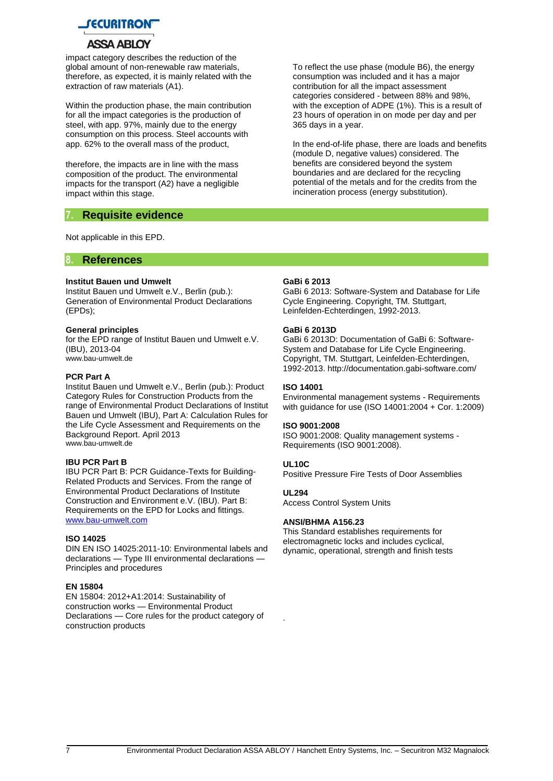

impact category describes the reduction of the global amount of non-renewable raw materials, therefore, as expected, it is mainly related with the extraction of raw materials (A1).

Within the production phase, the main contribution for all the impact categories is the production of steel, with app. 97%, mainly due to the energy consumption on this process. Steel accounts with app. 62% to the overall mass of the product,

therefore, the impacts are in line with the mass composition of the product. The environmental impacts for the transport (A2) have a negligible impact within this stage.

#### **7. Requisite evidence**

Not applicable in this EPD.

#### **8. References**

#### **Institut Bauen und Umwelt**

Institut Bauen und Umwelt e.V., Berlin (pub.): Generation of Environmental Product Declarations (EPDs);

#### **General principles**

for the EPD range of Institut Bauen und Umwelt e.V. (IBU), 2013-04 [www.bau-umwelt.de](http://www.bau-umwelt.de/)

#### **PCR Part A**

Institut Bauen und Umwelt e.V., Berlin (pub.): Product Category Rules for Construction Products from the range of Environmental Product Declarations of Institut Bauen und Umwelt (IBU), Part A: Calculation Rules for the Life Cycle Assessment and Requirements on the Background Report. April 2013 [www.bau-umwelt.de](http://www.bau-umwelt.de/)

#### **IBU PCR Part B**

IBU PCR Part B: PCR Guidance-Texts for Building-Related Products and Services. From the range of Environmental Product Declarations of Institute Construction and Environment e.V. (IBU). Part B: Requirements on the EPD for Locks and fittings. [www.bau-umwelt.com](http://www.bau-umwelt.com/)

#### **ISO 14025**

DIN EN ISO 14025:2011-10: Environmental labels and declarations — Type III environmental declarations — Principles and procedures

#### **EN 15804**

EN 15804: 2012+A1:2014: Sustainability of construction works — Environmental Product Declarations — Core rules for the product category of construction products

To reflect the use phase (module B6), the energy consumption was included and it has a major contribution for all the impact assessment categories considered - between 88% and 98%, with the exception of ADPE (1%). This is a result of 23 hours of operation in on mode per day and per 365 days in a year.

In the end-of-life phase, there are loads and benefits (module D, negative values) considered. The benefits are considered beyond the system boundaries and are declared for the recycling potential of the metals and for the credits from the incineration process (energy substitution).

#### **GaBi 6 2013**

GaBi 6 2013: Software-System and Database for Life Cycle Engineering. Copyright, TM. Stuttgart, Leinfelden-Echterdingen, 1992-2013.

#### **GaBi 6 2013D**

GaBi 6 2013D: Documentation of GaBi 6: Software-System and Database for Life Cycle Engineering. Copyright, TM. Stuttgart, Leinfelden-Echterdingen, 1992-2013. http://documentation.gabi-software.com/

#### **ISO 14001**

Environmental management systems - Requirements with guidance for use (ISO 14001:2004 + Cor. 1:2009)

#### **ISO 9001:2008**

ISO 9001:2008: Quality management systems - Requirements (ISO 9001:2008).

#### **UL10C**

Positive Pressure Fire Tests of Door Assemblies

#### **UL294**

.

Access Control System Units

#### **ANSI/BHMA A156.23**

This Standard establishes requirements for electromagnetic locks and includes cyclical, dynamic, operational, strength and finish tests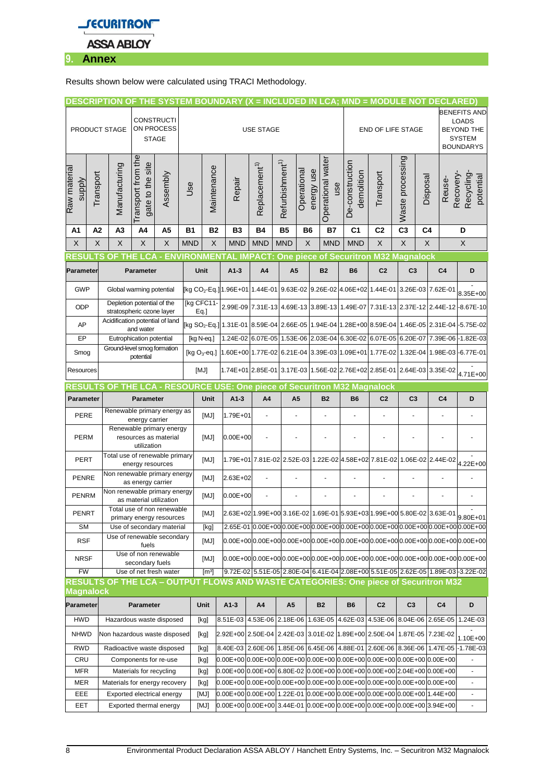

Results shown below were calculated using TRACI Methodology.

| <b>DESCRIPTION</b>                                               |                                               |                                                                  |                                          |                                                        |            |                                                                                 |                                                                                                                                                                                                                                                         |                                                                         |                             |             |                                 |                                                                         | THE SYSTEM BOUNDARY (X = INCLUDED IN LCA; MND = MODULE NOT DECLARED) |                |                  |                                                                                                   |                     |                                                                                                                            |
|------------------------------------------------------------------|-----------------------------------------------|------------------------------------------------------------------|------------------------------------------|--------------------------------------------------------|------------|---------------------------------------------------------------------------------|---------------------------------------------------------------------------------------------------------------------------------------------------------------------------------------------------------------------------------------------------------|-------------------------------------------------------------------------|-----------------------------|-------------|---------------------------------|-------------------------------------------------------------------------|----------------------------------------------------------------------|----------------|------------------|---------------------------------------------------------------------------------------------------|---------------------|----------------------------------------------------------------------------------------------------------------------------|
| <b>CONSTRUCTI</b><br>ON PROCESS<br>PRODUCT STAGE<br><b>STAGE</b> |                                               |                                                                  | <b>USE STAGE</b>                         |                                                        |            |                                                                                 |                                                                                                                                                                                                                                                         |                                                                         |                             |             |                                 | <b>END OF LIFE STAGE</b>                                                |                                                                      |                |                  | <b>BENEFITS AND</b><br><b>LOADS</b><br><b>BEYOND THE</b><br><b>SYSTEM</b><br><b>BOUNDARYS</b>     |                     |                                                                                                                            |
| Raw material<br><b>supply</b>                                    | Transport                                     | Manufacturing                                                    | the<br>gate to the site<br>ransport from | Assembly                                               | Use        | Maintenance                                                                     | Repair                                                                                                                                                                                                                                                  | Replacement <sup>1)</sup>                                               | Refurbishment <sup>1)</sup> | Operational | Operational water<br>energy use | use                                                                     | De-construction<br>demolition                                        | Transport      | Waste processing | Disposal                                                                                          | Recovery-<br>Reuse- | Recycling<br>potential                                                                                                     |
| Α1                                                               | A2                                            | A <sub>3</sub>                                                   | A4                                       | A <sub>5</sub>                                         | <b>B1</b>  | <b>B2</b>                                                                       | B <sub>3</sub>                                                                                                                                                                                                                                          | <b>B4</b>                                                               | <b>B5</b>                   | <b>B6</b>   | <b>B7</b>                       |                                                                         | C <sub>1</sub>                                                       | C <sub>2</sub> | C <sub>3</sub>   | C <sub>4</sub>                                                                                    |                     | D                                                                                                                          |
| X                                                                | X                                             | X                                                                | X                                        | X                                                      | <b>MND</b> | X                                                                               | <b>MND</b>                                                                                                                                                                                                                                              | <b>MND</b>                                                              | <b>MND</b>                  | X           | <b>MND</b>                      |                                                                         | <b>MND</b>                                                           | X              | X                | X                                                                                                 |                     | X                                                                                                                          |
|                                                                  |                                               | O                                                                | CΔ                                       |                                                        |            | <b>ENVIRONMENTAL</b>                                                            |                                                                                                                                                                                                                                                         |                                                                         |                             |             |                                 |                                                                         | <b>IMPACT: One piece of Securitron M32 Magnalock</b>                 |                |                  |                                                                                                   |                     |                                                                                                                            |
| Parameter                                                        |                                               |                                                                  | Parameter                                |                                                        |            | Unit                                                                            | $A1-3$                                                                                                                                                                                                                                                  | A4                                                                      | A <sub>5</sub>              |             | <b>B2</b>                       |                                                                         | <b>B6</b>                                                            | C <sub>2</sub> | C <sub>3</sub>   |                                                                                                   | C <sub>4</sub>      | D                                                                                                                          |
| <b>GWP</b>                                                       |                                               | Global warming potential                                         |                                          |                                                        |            |                                                                                 |                                                                                                                                                                                                                                                         |                                                                         |                             |             |                                 |                                                                         |                                                                      |                |                  | [kg CO <sub>2</sub> -Eq.] 1.96E+01 1.44E-01 9.63E-02 9.26E-02 4.06E+02 1.44E-01 3.26E-03 7.62E-01 |                     | 8.35E+00                                                                                                                   |
| ODP                                                              |                                               | Depletion potential of the<br>stratospheric ozone layer          |                                          |                                                        |            | [kg CFC11-<br>$Eq.$ ]                                                           |                                                                                                                                                                                                                                                         |                                                                         |                             |             |                                 |                                                                         |                                                                      |                |                  | 2.99E-09 7.31E-13 4.69E-13 3.89E-13 1.49E-07 7.31E-13 2.37E-12 2.44E-12 -8.67E-10                 |                     |                                                                                                                            |
| AP                                                               |                                               | Acidification potential of land                                  | and water                                |                                                        |            |                                                                                 |                                                                                                                                                                                                                                                         |                                                                         |                             |             |                                 |                                                                         |                                                                      |                |                  |                                                                                                   |                     | 02-Eq.]  1.31E-01  8.59E-04  2.66E-05  1.94E-04  1.28E+00  8.59E-04  1.46E-05  2.31E-04  4.5.75E-02                        |
| EP                                                               |                                               |                                                                  | Eutrophication potential                 |                                                        |            | [kg N-eq.]                                                                      |                                                                                                                                                                                                                                                         |                                                                         |                             |             |                                 |                                                                         | 1.24E-02 6.07E-05 1.53E-06 2.03E-04 6.30E-02 6.07E-05 6.20E-07       |                |                  |                                                                                                   |                     | 7.39E-06 -1.82E-03                                                                                                         |
| Smog                                                             |                                               | Ground-level smog formation<br>potential                         |                                          |                                                        |            |                                                                                 |                                                                                                                                                                                                                                                         |                                                                         |                             |             |                                 |                                                                         |                                                                      |                |                  |                                                                                                   |                     | [kg O <sub>3</sub> -eq.]  1.60E+00  1.77E-02   6.21E-04   3.39E-03   1.09E+01   1.77E-02   1.32E-04   1.98E-03   -6.77E-01 |
| Resources                                                        |                                               |                                                                  |                                          |                                                        | [MJ]       |                                                                                 |                                                                                                                                                                                                                                                         |                                                                         |                             |             |                                 | 1.74E+01 2.85E-01 3.17E-03 1.56E-02 2.76E+02 2.85E-01 2.64E-03 3.35E-02 |                                                                      |                |                  |                                                                                                   | 4.71E+00            |                                                                                                                            |
| <b>RESUL</b>                                                     | TS                                            |                                                                  |                                          |                                                        |            |                                                                                 | OF THE LCA - RESOURCE USE: One piece of Securitron M32 Magnalock                                                                                                                                                                                        |                                                                         |                             |             |                                 |                                                                         |                                                                      |                |                  |                                                                                                   |                     |                                                                                                                            |
|                                                                  | Parameter<br>Parameter                        |                                                                  |                                          |                                                        | Unit       | $A1-3$                                                                          | A4                                                                                                                                                                                                                                                      | A <sub>5</sub>                                                          |                             | <b>B2</b>   |                                 | <b>B6</b>                                                               | C <sub>2</sub>                                                       | C <sub>3</sub> |                  | C <sub>4</sub>                                                                                    | D                   |                                                                                                                            |
| PERE                                                             | Renewable primary energy as<br>energy carrier |                                                                  |                                          |                                                        | [MJ]       | 1.79E+01                                                                        |                                                                                                                                                                                                                                                         |                                                                         |                             |             | ä,                              |                                                                         |                                                                      |                |                  |                                                                                                   |                     |                                                                                                                            |
| <b>PERM</b>                                                      |                                               | Renewable primary energy<br>resources as material<br>utilization |                                          |                                                        |            | [MJ]                                                                            | $0.00E + 00$                                                                                                                                                                                                                                            |                                                                         |                             |             |                                 |                                                                         |                                                                      |                |                  |                                                                                                   |                     |                                                                                                                            |
| PERT                                                             |                                               | Total use of renewable primary                                   | energy resources                         |                                                        |            | [MJ]                                                                            |                                                                                                                                                                                                                                                         | 1.79E+01 7.81E-02 2.52E-03 1.22E-02 4.58E+02 7.81E-02 1.06E-02 2.44E-02 |                             |             |                                 |                                                                         |                                                                      |                |                  |                                                                                                   |                     | 4.22E+00                                                                                                                   |
| <b>PENRE</b>                                                     |                                               | Non renewable primary energy                                     | as energy carrier                        |                                                        |            | [MJ]                                                                            | 2.63E+02                                                                                                                                                                                                                                                | ä,                                                                      |                             |             |                                 |                                                                         | ä,                                                                   |                | ä,               |                                                                                                   |                     |                                                                                                                            |
| <b>PENRM</b>                                                     |                                               | Non renewable primary energy                                     | as material utilization                  |                                                        |            | [MJ]                                                                            | $0.00E + 00$                                                                                                                                                                                                                                            |                                                                         |                             |             |                                 |                                                                         |                                                                      |                |                  |                                                                                                   |                     |                                                                                                                            |
| PENRT                                                            |                                               |                                                                  |                                          | Total use of non renewable<br>primary energy resources |            | [MJ]<br>2.63E+02 1.99E+00 3.16E-02 1.69E-01 5.93E+03 1.99E+00 5.80E-02 3.63E-01 |                                                                                                                                                                                                                                                         |                                                                         |                             |             |                                 |                                                                         | 9.80E+01                                                             |                |                  |                                                                                                   |                     |                                                                                                                            |
| SM                                                               |                                               |                                                                  | Use of secondary material                |                                                        |            | [kg]                                                                            |                                                                                                                                                                                                                                                         |                                                                         |                             |             |                                 |                                                                         |                                                                      |                |                  |                                                                                                   |                     | 2.65E-01 0.00E+000.00E+000.00E+000.00E+000.00E+000.00E+000.00E+000.00E+000.00E+00                                          |
| <b>RSF</b>                                                       |                                               | Use of renewable secondary<br>fuels                              |                                          |                                                        |            | [MJ]                                                                            |                                                                                                                                                                                                                                                         |                                                                         |                             |             |                                 |                                                                         |                                                                      |                |                  |                                                                                                   |                     |                                                                                                                            |
| <b>NRSF</b>                                                      |                                               | Use of non renewable<br>secondary fuels                          |                                          |                                                        |            | [MJ]                                                                            |                                                                                                                                                                                                                                                         |                                                                         |                             |             |                                 |                                                                         |                                                                      |                |                  |                                                                                                   |                     |                                                                                                                            |
| <b>FW</b>                                                        |                                               |                                                                  | Use of net fresh water                   |                                                        |            | $\lceil m^3 \rceil$                                                             |                                                                                                                                                                                                                                                         |                                                                         |                             |             |                                 |                                                                         |                                                                      |                |                  |                                                                                                   |                     | 9.72E-02 5.51E-05 2.80E-04 6.41E-04 2.08E+00 5.51E-05 2.62E-05 1.89E-03 - 3.22E-02                                         |
| <b>Magnalock</b>                                                 |                                               |                                                                  |                                          |                                                        |            |                                                                                 | RESULTS OF THE LCA - OUTPUT FLOWS AND WASTE CATEGORIES: One piece of Securitron M32                                                                                                                                                                     |                                                                         |                             |             |                                 |                                                                         |                                                                      |                |                  |                                                                                                   |                     |                                                                                                                            |
| Parameter                                                        |                                               |                                                                  | Parameter                                |                                                        |            | Unit                                                                            | $A1-3$                                                                                                                                                                                                                                                  | A4                                                                      | A <sub>5</sub>              |             | <b>B2</b>                       |                                                                         | <b>B6</b>                                                            | C <sub>2</sub> | C <sub>3</sub>   |                                                                                                   | C <sub>4</sub>      | D                                                                                                                          |
| <b>HWD</b>                                                       |                                               | Hazardous waste disposed                                         |                                          |                                                        |            | [kg]                                                                            | 8.51E-03 4.53E-06 2.18E-06                                                                                                                                                                                                                              |                                                                         |                             |             |                                 |                                                                         | 1.63E-05 4.62E-03 4.53E-06 8.04E-06 2.65E-05 1.24E-03                |                |                  |                                                                                                   |                     |                                                                                                                            |
| <b>NHWD</b>                                                      |                                               | Non hazardous waste disposed                                     |                                          |                                                        |            | [kg]                                                                            | 2.92E+00 2.50E-04 2.42E-03 3.01E-02 1.89E+00 2.50E-04 1.87E-05 7.23E-02                                                                                                                                                                                 |                                                                         |                             |             |                                 |                                                                         |                                                                      |                |                  |                                                                                                   |                     | 1.10E+00                                                                                                                   |
| <b>RWD</b>                                                       |                                               | Radioactive waste disposed                                       |                                          |                                                        |            | [kg]                                                                            |                                                                                                                                                                                                                                                         |                                                                         |                             |             |                                 |                                                                         |                                                                      |                |                  |                                                                                                   |                     | 8.40E-03   2.60E-06   1.85E-06   6.45E-06   4.88E-01   2.60E-06   8.36E-06   1.47E-05   -1.78E-03                          |
| CRU                                                              |                                               |                                                                  | Components for re-use                    |                                                        |            | [kg]                                                                            | $0.00E + 00000E + 000000E + 000000E + 000000E + 000000E + 000000E + 00000E + 00000E + 00000E + 000000E + 000000E + 000000E + 000000E + 000000E + 000000E + 000000E + 000000E + 000000E + 000000E + 000000E + 000000E + 000000E + 000000E + 000000E + 0$ |                                                                         |                             |             |                                 |                                                                         |                                                                      |                |                  |                                                                                                   |                     | $\overline{\phantom{a}}$                                                                                                   |
| <b>MFR</b>                                                       |                                               |                                                                  | Materials for recycling                  |                                                        |            | [kg]                                                                            | 0.00E+00 0.00E+00 6.80E-02 0.00E+00 0.00E+00 0.00E+00 2.04E+00 0.00E+00                                                                                                                                                                                 |                                                                         |                             |             |                                 |                                                                         |                                                                      |                |                  |                                                                                                   |                     | ۰                                                                                                                          |
| MER                                                              |                                               | Materials for energy recovery                                    |                                          |                                                        |            | [kg]                                                                            |                                                                                                                                                                                                                                                         |                                                                         |                             |             |                                 |                                                                         |                                                                      |                |                  |                                                                                                   |                     | ۰                                                                                                                          |
| EEE<br>EET                                                       |                                               | Exported electrical energy                                       |                                          |                                                        |            | [MJ]<br>[MJ]                                                                    | 0.00E+00 0.00E+00 1.22E-01 0.00E+00 0.00E+00 0.00E+00 0.00E+00 1.44E+00<br>$[0.00E + 00]0.00E + 00]3.44E - 01]0.00E + 00]0.00E + 00]0.00E + 00]0.00E + 00]3.94E + 00$                                                                                   |                                                                         |                             |             |                                 |                                                                         |                                                                      |                |                  |                                                                                                   |                     | $\frac{1}{2}$<br>÷,                                                                                                        |
|                                                                  | Exported thermal energy                       |                                                                  |                                          |                                                        |            |                                                                                 |                                                                                                                                                                                                                                                         |                                                                         |                             |             |                                 |                                                                         |                                                                      |                |                  |                                                                                                   |                     |                                                                                                                            |